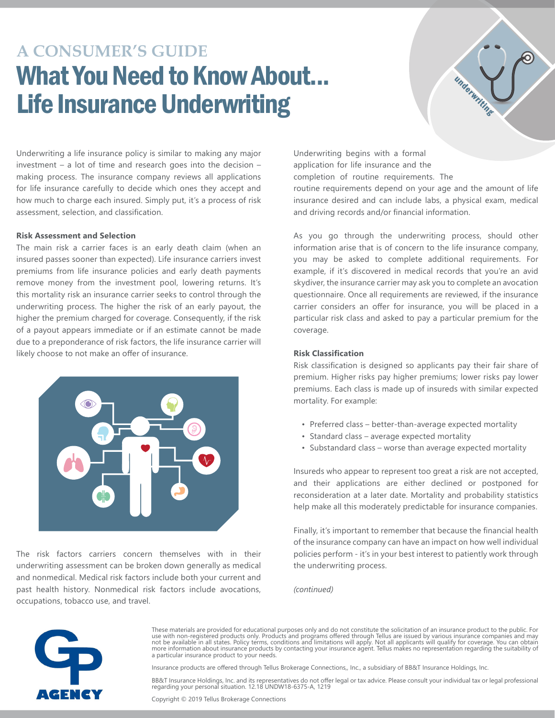# **A CONSUMER'S GUIDE**  What You Need to Know About... Life Insurance Underwriting



Underwriting a life insurance policy is similar to making any major investment – a lot of time and research goes into the decision – making process. The insurance company reviews all applications for life insurance carefully to decide which ones they accept and how much to charge each insured. Simply put, it's a process of risk assessment, selection, and classification.

### **Risk Assessment and Selection**

The main risk a carrier faces is an early death claim (when an insured passes sooner than expected). Life insurance carriers invest premiums from life insurance policies and early death payments remove money from the investment pool, lowering returns. It's this mortality risk an insurance carrier seeks to control through the underwriting process. The higher the risk of an early payout, the higher the premium charged for coverage. Consequently, if the risk of a payout appears immediate or if an estimate cannot be made due to a preponderance of risk factors, the life insurance carrier will likely choose to not make an offer of insurance.



The risk factors carriers concern themselves with in their underwriting assessment can be broken down generally as medical and nonmedical. Medical risk factors include both your current and past health history. Nonmedical risk factors include avocations, occupations, tobacco use, and travel.

Underwriting begins with a formal application for life insurance and the completion of routine requirements. The

routine requirements depend on your age and the amount of life insurance desired and can include labs, a physical exam, medical and driving records and/or financial information.

As you go through the underwriting process, should other information arise that is of concern to the life insurance company, you may be asked to complete additional requirements. For example, if it's discovered in medical records that you're an avid skydiver, the insurance carrier may ask you to complete an avocation questionnaire. Once all requirements are reviewed, if the insurance carrier considers an offer for insurance, you will be placed in a particular risk class and asked to pay a particular premium for the coverage.

## **Risk Classification**

Risk classification is designed so applicants pay their fair share of premium. Higher risks pay higher premiums; lower risks pay lower premiums. Each class is made up of insureds with similar expected mortality. For example:

- Preferred class better-than-average expected mortality
- Standard class average expected mortality
- Substandard class worse than average expected mortality

Insureds who appear to represent too great a risk are not accepted, and their applications are either declined or postponed for reconsideration at a later date. Mortality and probability statistics help make all this moderately predictable for insurance companies.

Finally, it's important to remember that because the financial health of the insurance company can have an impact on how well individual policies perform - it's in your best interest to patiently work through the underwriting process.

*(continued)* 



These materials are provided for educational purposes only and do not constitute the solicitation of an insurance product to the public. For use with non-registered products only. Products and programs offered through Tellus are issued by various insurance companies and may<br>not be available in all states. Policy terms, conditions and limitations will apply. Not a particular insurance product to your needs.

Insurance products are offered through Tellus Brokerage Connections,, Inc., a subsidiary of BB&T Insurance Holdings, Inc.

BB&T Insurance Holdings, Inc. and its representatives do not offer legal or tax advice. Please consult your individual tax or legal professional regarding your personal situation. 12.18 UNDW18-6375-A, 1219

Copyright © 2019 Tellus Brokerage Connections